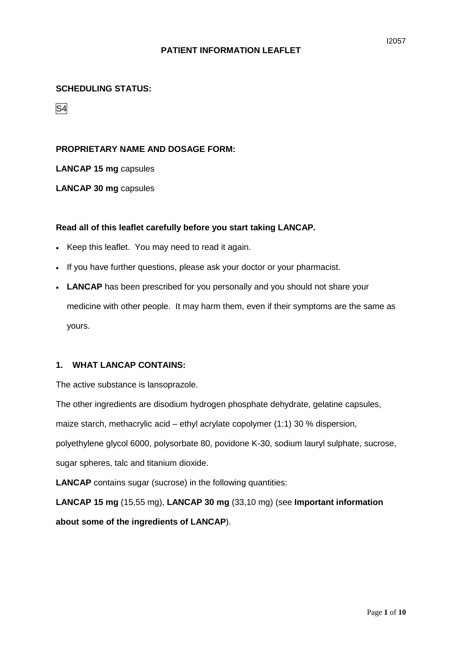# **SCHEDULING STATUS:**

S4

## **PROPRIETARY NAME AND DOSAGE FORM:**

**LANCAP 15 mg** capsules

**LANCAP 30 mg** capsules

#### **Read all of this leaflet carefully before you start taking LANCAP.**

- Keep this leaflet. You may need to read it again.
- If you have further questions, please ask your doctor or your pharmacist.
- **LANCAP** has been prescribed for you personally and you should not share your medicine with other people. It may harm them, even if their symptoms are the same as yours.

## **1. WHAT LANCAP CONTAINS:**

The active substance is lansoprazole.

The other ingredients are disodium hydrogen phosphate dehydrate, gelatine capsules,

maize starch, methacrylic acid – ethyl acrylate copolymer (1:1) 30 % dispersion,

polyethylene glycol 6000, polysorbate 80, povidone K-30, sodium lauryl sulphate, sucrose,

sugar spheres, talc and titanium dioxide.

**LANCAP** contains sugar (sucrose) in the following quantities:

**LANCAP 15 mg** (15,55 mg), **LANCAP 30 mg** (33,10 mg) (see **Important information about some of the ingredients of LANCAP**).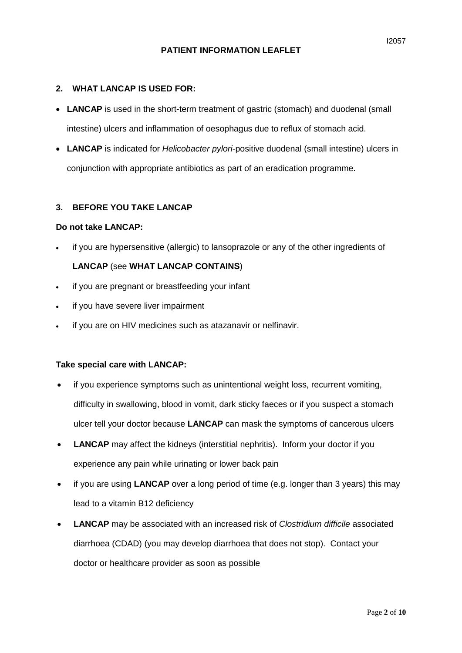#### **2. WHAT LANCAP IS USED FOR:**

- LANCAP is used in the short-term treatment of gastric (stomach) and duodenal (small intestine) ulcers and inflammation of oesophagus due to reflux of stomach acid.
- **LANCAP** is indicated for *Helicobacter pylori*-positive duodenal (small intestine) ulcers in conjunction with appropriate antibiotics as part of an eradication programme.

#### **3. BEFORE YOU TAKE LANCAP**

#### **Do not take LANCAP:**

• if you are hypersensitive (allergic) to lansoprazole or any of the other ingredients of

## **LANCAP** (see **WHAT LANCAP CONTAINS**)

- if you are pregnant or breastfeeding your infant
- if you have severe liver impairment
- if you are on HIV medicines such as atazanavir or nelfinavir.

#### **Take special care with LANCAP:**

- if you experience symptoms such as unintentional weight loss, recurrent vomiting, difficulty in swallowing, blood in vomit, dark sticky faeces or if you suspect a stomach ulcer tell your doctor because **LANCAP** can mask the symptoms of cancerous ulcers
- **LANCAP** may affect the kidneys (interstitial nephritis). Inform your doctor if you experience any pain while urinating or lower back pain
- if you are using **LANCAP** over a long period of time (e.g. longer than 3 years) this may lead to a vitamin B12 deficiency
- **LANCAP** may be associated with an increased risk of *Clostridium difficile* associated diarrhoea (CDAD) (you may develop diarrhoea that does not stop). Contact your doctor or healthcare provider as soon as possible

I2057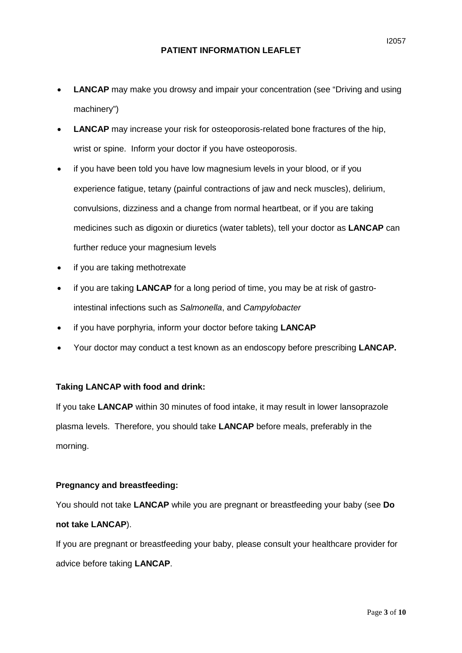- **LANCAP** may make you drowsy and impair your concentration (see "Driving and using machinery")
- **LANCAP** may increase your risk for osteoporosis-related bone fractures of the hip, wrist or spine. Inform your doctor if you have osteoporosis.
- if you have been told you have low magnesium levels in your blood, or if you experience fatigue, tetany (painful contractions of jaw and neck muscles), delirium, convulsions, dizziness and a change from normal heartbeat, or if you are taking medicines such as digoxin or diuretics (water tablets), tell your doctor as **LANCAP** can further reduce your magnesium levels
- if you are taking methotrexate
- if you are taking **LANCAP** for a long period of time, you may be at risk of gastrointestinal infections such as *Salmonella*, and *Campylobacter*
- if you have porphyria, inform your doctor before taking **LANCAP**
- Your doctor may conduct a test known as an endoscopy before prescribing **LANCAP.**

## **Taking LANCAP with food and drink:**

If you take **LANCAP** within 30 minutes of food intake, it may result in lower lansoprazole plasma levels. Therefore, you should take **LANCAP** before meals, preferably in the morning.

#### **Pregnancy and breastfeeding:**

You should not take **LANCAP** while you are pregnant or breastfeeding your baby (see **Do not take LANCAP**).

If you are pregnant or breastfeeding your baby, please consult your healthcare provider for advice before taking **LANCAP**.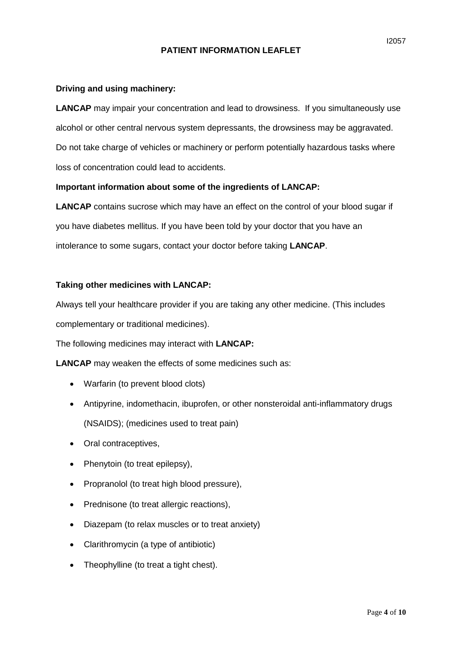## **Driving and using machinery:**

**LANCAP** may impair your concentration and lead to drowsiness. If you simultaneously use alcohol or other central nervous system depressants, the drowsiness may be aggravated. Do not take charge of vehicles or machinery or perform potentially hazardous tasks where loss of concentration could lead to accidents.

## **Important information about some of the ingredients of LANCAP:**

**LANCAP** contains sucrose which may have an effect on the control of your blood sugar if you have diabetes mellitus. If you have been told by your doctor that you have an intolerance to some sugars, contact your doctor before taking **LANCAP**.

#### **Taking other medicines with LANCAP:**

Always tell your healthcare provider if you are taking any other medicine. (This includes complementary or traditional medicines).

The following medicines may interact with **LANCAP:**

**LANCAP** may weaken the effects of some medicines such as:

- Warfarin (to prevent blood clots)
- Antipyrine, indomethacin, ibuprofen, or other nonsteroidal anti-inflammatory drugs (NSAIDS); (medicines used to treat pain)
- Oral contraceptives,
- Phenytoin (to treat epilepsy),
- Propranolol (to treat high blood pressure),
- Prednisone (to treat allergic reactions),
- Diazepam (to relax muscles or to treat anxiety)
- Clarithromycin (a type of antibiotic)
- Theophylline (to treat a tight chest).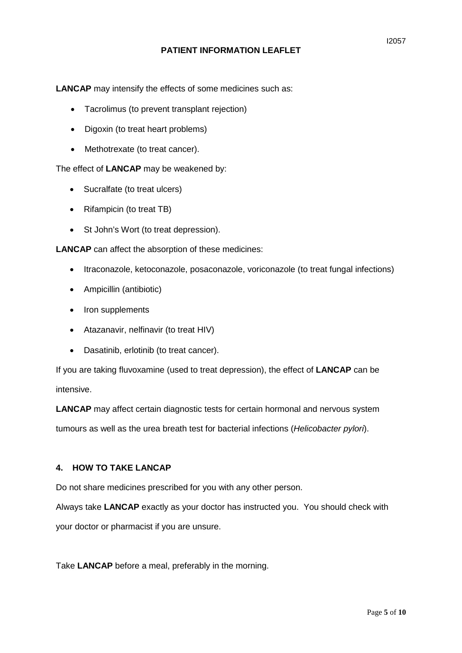**LANCAP** may intensify the effects of some medicines such as:

- Tacrolimus (to prevent transplant rejection)
- Digoxin (to treat heart problems)
- Methotrexate (to treat cancer).

The effect of **LANCAP** may be weakened by:

- Sucralfate (to treat ulcers)
- Rifampicin (to treat TB)
- St John's Wort (to treat depression).

**LANCAP** can affect the absorption of these medicines:

- Itraconazole, ketoconazole, posaconazole, voriconazole (to treat fungal infections)
- Ampicillin (antibiotic)
- Iron supplements
- Atazanavir, nelfinavir (to treat HIV)
- Dasatinib, erlotinib (to treat cancer).

If you are taking fluvoxamine (used to treat depression), the effect of **LANCAP** can be intensive.

**LANCAP** may affect certain diagnostic tests for certain hormonal and nervous system tumours as well as the urea breath test for bacterial infections (*Helicobacter pylori*).

## **4. HOW TO TAKE LANCAP**

Do not share medicines prescribed for you with any other person.

Always take **LANCAP** exactly as your doctor has instructed you. You should check with your doctor or pharmacist if you are unsure.

Take **LANCAP** before a meal, preferably in the morning.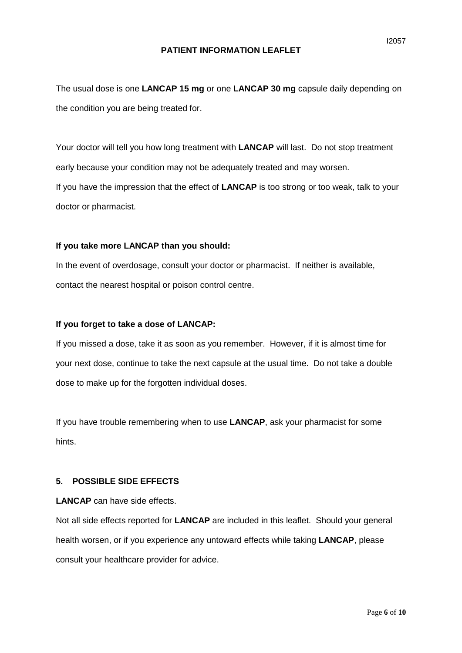The usual dose is one **LANCAP 15 mg** or one **LANCAP 30 mg** capsule daily depending on the condition you are being treated for.

Your doctor will tell you how long treatment with **LANCAP** will last. Do not stop treatment early because your condition may not be adequately treated and may worsen. If you have the impression that the effect of **LANCAP** is too strong or too weak, talk to your doctor or pharmacist.

#### **If you take more LANCAP than you should:**

In the event of overdosage, consult your doctor or pharmacist. If neither is available, contact the nearest hospital or poison control centre.

#### **If you forget to take a dose of LANCAP:**

If you missed a dose, take it as soon as you remember. However, if it is almost time for your next dose, continue to take the next capsule at the usual time. Do not take a double dose to make up for the forgotten individual doses.

If you have trouble remembering when to use **LANCAP**, ask your pharmacist for some hints.

## **5. POSSIBLE SIDE EFFECTS**

**LANCAP** can have side effects.

Not all side effects reported for **LANCAP** are included in this leaflet. Should your general health worsen, or if you experience any untoward effects while taking **LANCAP**, please consult your healthcare provider for advice.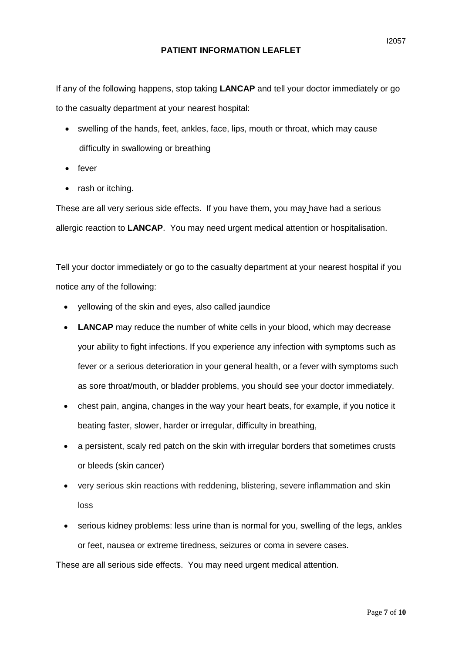If any of the following happens, stop taking **LANCAP** and tell your doctor immediately or go to the casualty department at your nearest hospital:

- swelling of the hands, feet, ankles, face, lips, mouth or throat, which may cause difficulty in swallowing or breathing
- fever
- rash or itching.

These are all very serious side effects. If you have them, you may have had a serious allergic reaction to **LANCAP**. You may need urgent medical attention or hospitalisation.

Tell your doctor immediately or go to the casualty department at your nearest hospital if you notice any of the following:

- yellowing of the skin and eyes, also called jaundice
- LANCAP may reduce the number of white cells in your blood, which may decrease your ability to fight infections. If you experience any infection with symptoms such as fever or a serious deterioration in your general health, or a fever with symptoms such as sore throat/mouth, or bladder problems, you should see your doctor immediately.
- chest pain, angina, changes in the way your heart beats, for example, if you notice it beating faster, slower, harder or irregular, difficulty in breathing,
- a persistent, scaly red patch on the skin with irregular borders that sometimes crusts or bleeds (skin cancer)
- very serious skin reactions with reddening, blistering, severe inflammation and skin loss
- serious kidney problems: less urine than is normal for you, swelling of the legs, ankles or feet, nausea or extreme tiredness, seizures or coma in severe cases.

These are all serious side effects. You may need urgent medical attention.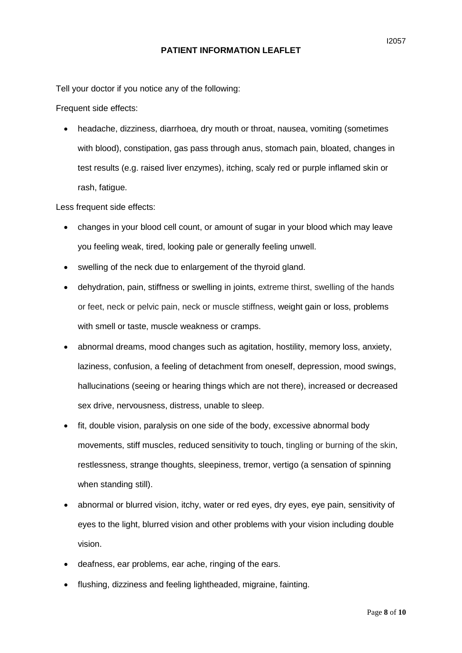Tell your doctor if you notice any of the following:

Frequent side effects:

• headache, dizziness, diarrhoea, dry mouth or throat, nausea, vomiting (sometimes with blood), constipation, gas pass through anus, stomach pain, bloated, changes in test results (e.g. raised liver enzymes), itching, scaly red or purple inflamed skin or rash, fatigue.

Less frequent side effects:

- changes in your blood cell count, or amount of sugar in your blood which may leave you feeling weak, tired, looking pale or generally feeling unwell.
- swelling of the neck due to enlargement of the thyroid gland.
- dehydration, pain, stiffness or swelling in joints, extreme thirst, swelling of the hands or feet, neck or pelvic pain, neck or muscle stiffness, weight gain or loss, problems with smell or taste, muscle weakness or cramps.
- abnormal dreams, mood changes such as agitation, hostility, memory loss, anxiety, laziness, confusion, a feeling of detachment from oneself, depression, mood swings, hallucinations (seeing or hearing things which are not there), increased or decreased sex drive, nervousness, distress, unable to sleep.
- fit, double vision, paralysis on one side of the body, excessive abnormal body movements, stiff muscles, reduced sensitivity to touch, tingling or burning of the skin, restlessness, strange thoughts, sleepiness, tremor, vertigo (a sensation of spinning when standing still).
- abnormal or blurred vision, itchy, water or red eyes, dry eyes, eye pain, sensitivity of eyes to the light, blurred vision and other problems with your vision including double vision.
- deafness, ear problems, ear ache, ringing of the ears.
- flushing, dizziness and feeling lightheaded, migraine, fainting.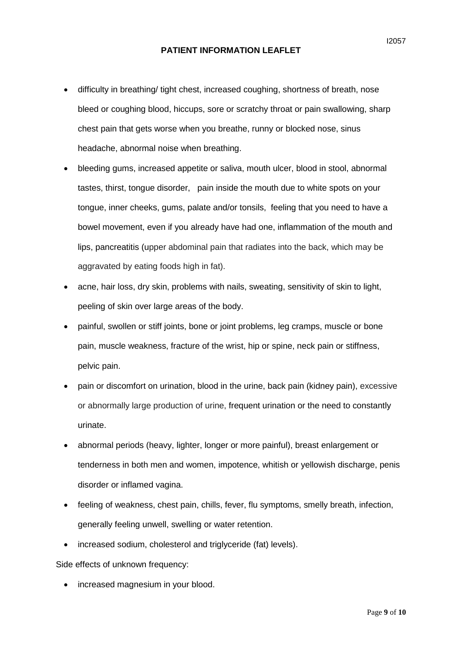- difficulty in breathing/ tight chest, increased coughing, shortness of breath, nose bleed or coughing blood, hiccups, sore or scratchy throat or pain swallowing, sharp chest pain that gets worse when you breathe, runny or blocked nose, sinus headache, abnormal noise when breathing.
- bleeding gums, increased appetite or saliva, mouth ulcer, blood in stool, abnormal tastes, thirst, tongue disorder, pain inside the mouth due to white spots on your tongue, inner cheeks, gums, palate and/or tonsils, feeling that you need to have a bowel movement, even if you already have had one, inflammation of the mouth and lips, pancreatitis (upper abdominal pain that radiates into the back, which may be aggravated by eating foods high in fat).
- acne, hair loss, dry skin, problems with nails, sweating, sensitivity of skin to light, peeling of skin over large areas of the body.
- painful, swollen or stiff joints, bone or joint problems, leg cramps, muscle or bone pain, muscle weakness, fracture of the wrist, hip or spine, neck pain or stiffness, pelvic pain.
- pain or discomfort on urination, blood in the urine, back pain (kidney pain), excessive or abnormally large production of urine, frequent urination or the need to constantly urinate.
- abnormal periods (heavy, lighter, longer or more painful), breast enlargement or tenderness in both men and women, impotence, whitish or yellowish discharge, penis disorder or inflamed vagina.
- feeling of weakness, chest pain, chills, fever, flu symptoms, smelly breath, infection, generally feeling unwell, swelling or water retention.
- increased sodium, cholesterol and triglyceride (fat) levels).

Side effects of unknown frequency:

• increased magnesium in your blood.